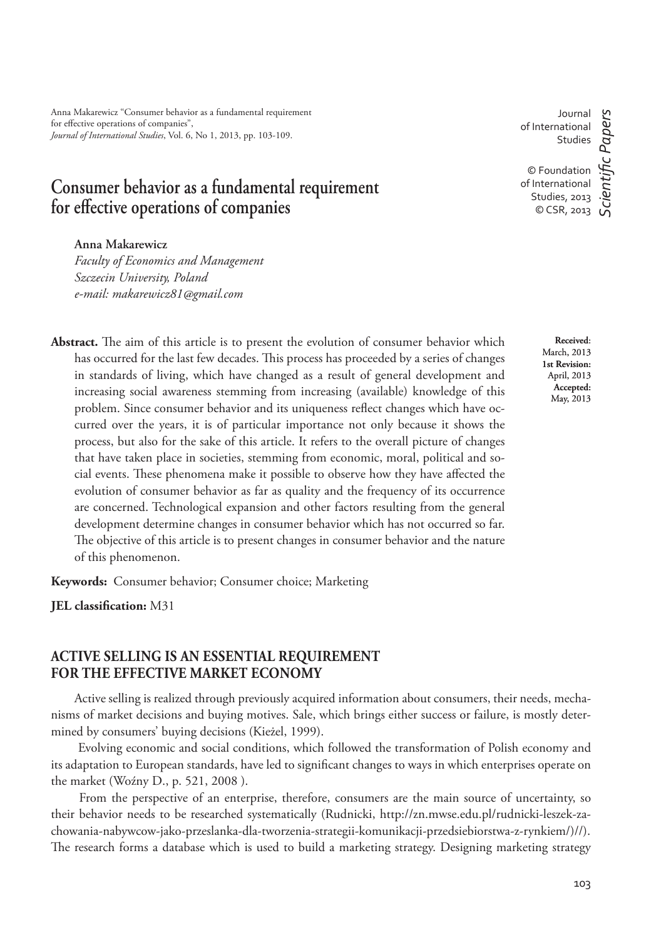Anna Makarewicz "Consumer behavior as a fundamental requirement for effective operations of companies", *Journal of International Studies*, Vol. 6, No 1, 2013, pp. 103-109.

# **Consumer behavior as a fundamental requirement**  for effective operations of companies

### **Anna Makarewicz**

*Faculty of Economics and Management Szczecin University, Poland e-mail: makarewicz81@gmail.com*

Abstract. The aim of this article is to present the evolution of consumer behavior which has occurred for the last few decades. This process has proceeded by a series of changes in standards of living, which have changed as a result of general development and increasing social awareness stemming from increasing (available) knowledge of this problem. Since consumer behavior and its uniqueness reflect changes which have occurred over the years, it is of particular importance not only because it shows the process, but also for the sake of this article. It refers to the overall picture of changes that have taken place in societies, stemming from economic, moral, political and social events. These phenomena make it possible to observe how they have affected the evolution of consumer behavior as far as quality and the frequency of its occurrence are concerned. Technological expansion and other factors resulting from the general development determine changes in consumer behavior which has not occurred so far. The objective of this article is to present changes in consumer behavior and the nature of this phenomenon.

**Keywords:** Consumer behavior; Consumer choice; Marketing

**JEL classification:** M31

## **ACTIVE SELLING IS AN ESSENTIAL REQUIREMENT FOR THE EFFECTIVE MARKET ECONOMY**

Active selling is realized through previously acquired information about consumers, their needs, mechanisms of market decisions and buying motives. Sale, which brings either success or failure, is mostly determined by consumers' buying decisions (Kieżel, 1999).

 Evolving economic and social conditions, which followed the transformation of Polish economy and its adaptation to European standards, have led to significant changes to ways in which enterprises operate on the market (Woźny D., p. 521, 2008 ).

 From the perspective of an enterprise, therefore, consumers are the main source of uncertainty, so their behavior needs to be researched systematically (Rudnicki, http://zn.mwse.edu.pl/rudnicki-leszek-zachowania-nabywcow-jako-przeslanka-dla-tworzenia-strategii-komunikacji-przedsiebiorstwa-z-rynkiem/)//). The research forms a database which is used to build a marketing strategy. Designing marketing strategy

Journal of International Studies

© Foundation of International Studies, 2013 © CSR, 2013

*ScientiÞ c Papers*

cientific Papers

**Received**: March, 2013 **1st Revision:**  April, 2013 **Accepted:**  May, 2013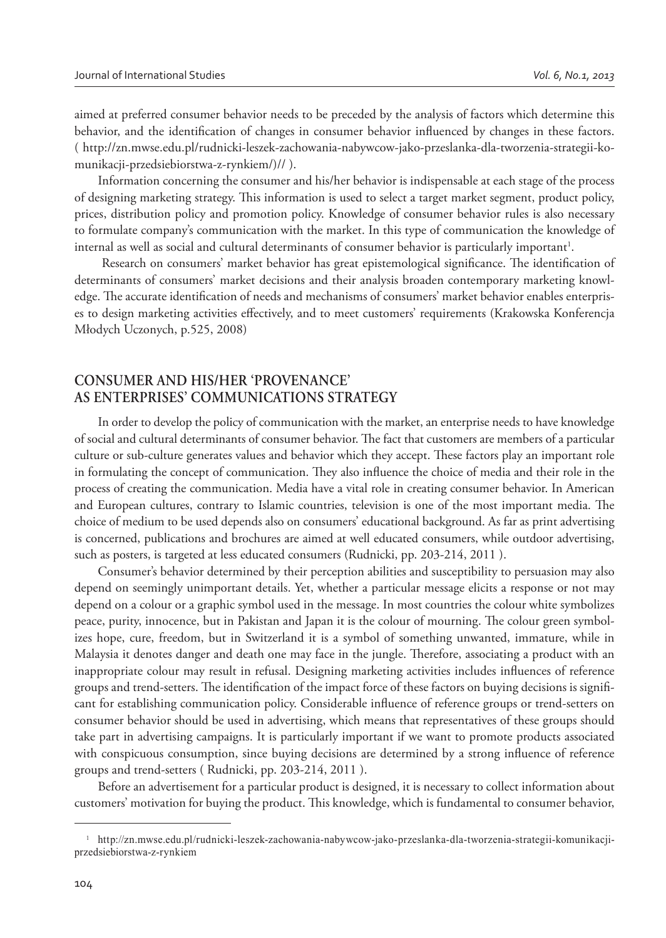aimed at preferred consumer behavior needs to be preceded by the analysis of factors which determine this behavior, and the identification of changes in consumer behavior influenced by changes in these factors. ( http://zn.mwse.edu.pl/rudnicki-leszek-zachowania-nabywcow-jako-przeslanka-dla-tworzenia-strategii-komunikacji-przedsiebiorstwa-z-rynkiem/)// ).

Information concerning the consumer and his/her behavior is indispensable at each stage of the process of designing marketing strategy. This information is used to select a target market segment, product policy, prices, distribution policy and promotion policy. Knowledge of consumer behavior rules is also necessary to formulate company's communication with the market. In this type of communication the knowledge of internal as well as social and cultural determinants of consumer behavior is particularly important<sup>1</sup>.

Research on consumers' market behavior has great epistemological significance. The identification of determinants of consumers' market decisions and their analysis broaden contemporary marketing knowledge. The accurate identification of needs and mechanisms of consumers' market behavior enables enterprises to design marketing activities effectively, and to meet customers' requirements (Krakowska Konferencja Młodych Uczonych, p.525, 2008)

# **CONSUMER AND HIS/HER 'PROVENANCE' AS ENTERPRISES' COMMUNICATIONS STRATEGY**

In order to develop the policy of communication with the market, an enterprise needs to have knowledge of social and cultural determinants of consumer behavior. The fact that customers are members of a particular culture or sub-culture generates values and behavior which they accept. These factors play an important role in formulating the concept of communication. They also influence the choice of media and their role in the process of creating the communication. Media have a vital role in creating consumer behavior. In American and European cultures, contrary to Islamic countries, television is one of the most important media. The choice of medium to be used depends also on consumers' educational background. As far as print advertising is concerned, publications and brochures are aimed at well educated consumers, while outdoor advertising, such as posters, is targeted at less educated consumers (Rudnicki, pp. 203-214, 2011 ).

Consumer's behavior determined by their perception abilities and susceptibility to persuasion may also depend on seemingly unimportant details. Yet, whether a particular message elicits a response or not may depend on a colour or a graphic symbol used in the message. In most countries the colour white symbolizes peace, purity, innocence, but in Pakistan and Japan it is the colour of mourning. The colour green symbolizes hope, cure, freedom, but in Switzerland it is a symbol of something unwanted, immature, while in Malaysia it denotes danger and death one may face in the jungle. Therefore, associating a product with an inappropriate colour may result in refusal. Designing marketing activities includes influences of reference groups and trend-setters. The identification of the impact force of these factors on buying decisions is significant for establishing communication policy. Considerable influence of reference groups or trend-setters on consumer behavior should be used in advertising, which means that representatives of these groups should take part in advertising campaigns. It is particularly important if we want to promote products associated with conspicuous consumption, since buying decisions are determined by a strong influence of reference groups and trend-setters ( Rudnicki, pp. 203-214, 2011 ).

Before an advertisement for a particular product is designed, it is necessary to collect information about customers' motivation for buying the product. This knowledge, which is fundamental to consumer behavior,

<sup>1</sup> http://zn.mwse.edu.pl/rudnicki-leszek-zachowania-nabywcow-jako-przeslanka-dla-tworzenia-strategii-komunikacjiprzedsiebiorstwa-z-rynkiem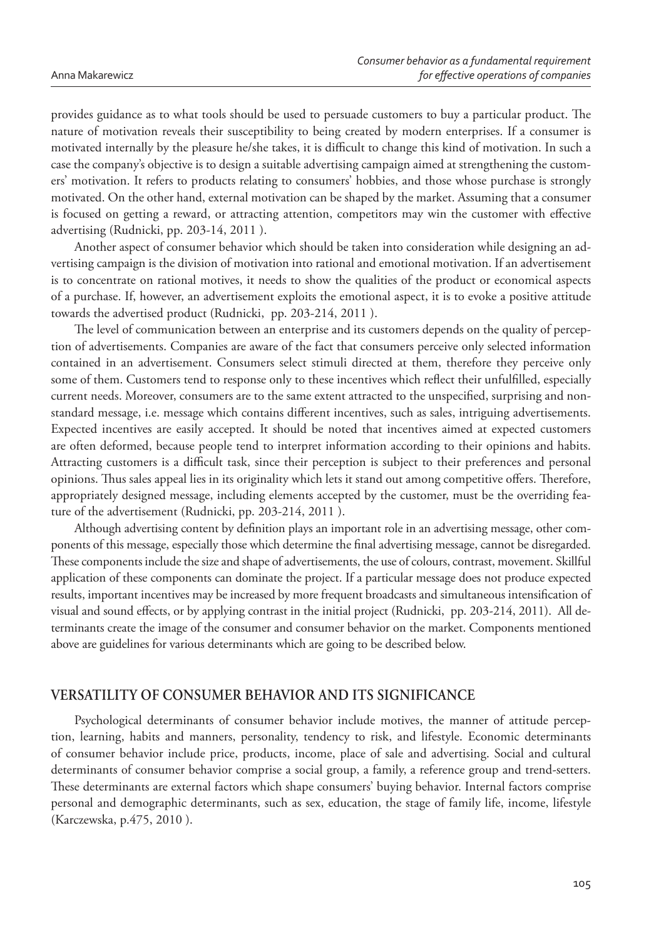provides guidance as to what tools should be used to persuade customers to buy a particular product. The nature of motivation reveals their susceptibility to being created by modern enterprises. If a consumer is motivated internally by the pleasure he/she takes, it is difficult to change this kind of motivation. In such a case the company's objective is to design a suitable advertising campaign aimed at strengthening the customers' motivation. It refers to products relating to consumers' hobbies, and those whose purchase is strongly motivated. On the other hand, external motivation can be shaped by the market. Assuming that a consumer is focused on getting a reward, or attracting attention, competitors may win the customer with effective advertising (Rudnicki, pp. 203-14, 2011 ).

Another aspect of consumer behavior which should be taken into consideration while designing an advertising campaign is the division of motivation into rational and emotional motivation. If an advertisement is to concentrate on rational motives, it needs to show the qualities of the product or economical aspects of a purchase. If, however, an advertisement exploits the emotional aspect, it is to evoke a positive attitude towards the advertised product (Rudnicki, pp. 203-214, 2011 ).

The level of communication between an enterprise and its customers depends on the quality of perception of advertisements. Companies are aware of the fact that consumers perceive only selected information contained in an advertisement. Consumers select stimuli directed at them, therefore they perceive only some of them. Customers tend to response only to these incentives which reflect their unfulfilled, especially current needs. Moreover, consumers are to the same extent attracted to the unspecified, surprising and nonstandard message, i.e. message which contains different incentives, such as sales, intriguing advertisements. Expected incentives are easily accepted. It should be noted that incentives aimed at expected customers are often deformed, because people tend to interpret information according to their opinions and habits. Attracting customers is a difficult task, since their perception is subject to their preferences and personal opinions. Thus sales appeal lies in its originality which lets it stand out among competitive offers. Therefore, appropriately designed message, including elements accepted by the customer, must be the overriding feature of the advertisement (Rudnicki, pp. 203-214, 2011 ).

Although advertising content by definition plays an important role in an advertising message, other components of this message, especially those which determine the final advertising message, cannot be disregarded. These components include the size and shape of advertisements, the use of colours, contrast, movement. Skillful application of these components can dominate the project. If a particular message does not produce expected results, important incentives may be increased by more frequent broadcasts and simultaneous intensification of visual and sound effects, or by applying contrast in the initial project (Rudnicki, pp. 203-214, 2011). All determinants create the image of the consumer and consumer behavior on the market. Components mentioned above are guidelines for various determinants which are going to be described below.

## **VERSATILITY OF CONSUMER BEHAVIOR AND ITS SIGNIFICANCE**

Psychological determinants of consumer behavior include motives, the manner of attitude perception, learning, habits and manners, personality, tendency to risk, and lifestyle. Economic determinants of consumer behavior include price, products, income, place of sale and advertising. Social and cultural determinants of consumer behavior comprise a social group, a family, a reference group and trend-setters. These determinants are external factors which shape consumers' buying behavior. Internal factors comprise personal and demographic determinants, such as sex, education, the stage of family life, income, lifestyle (Karczewska, p.475, 2010 ).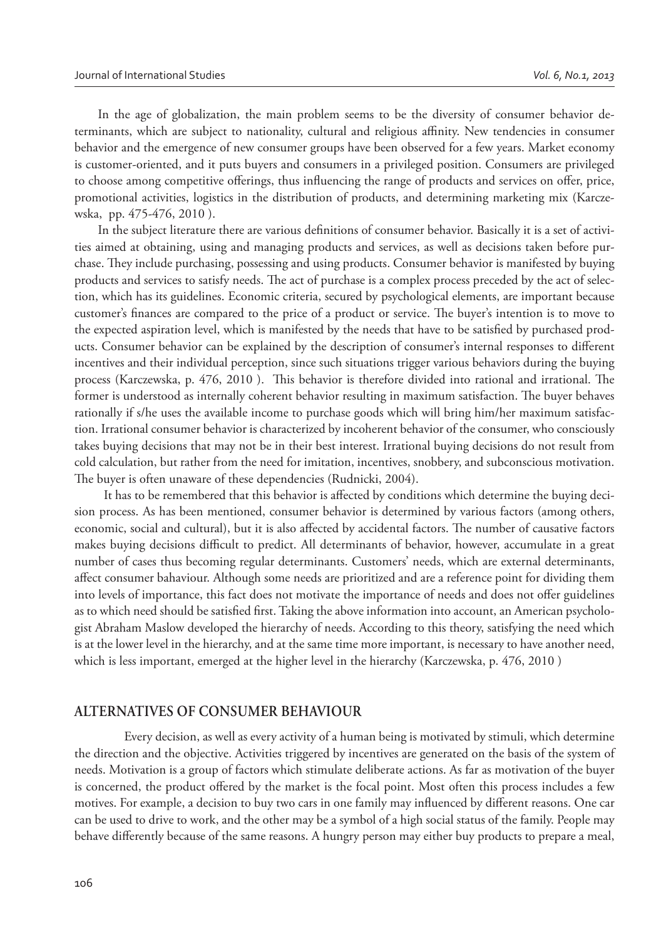In the age of globalization, the main problem seems to be the diversity of consumer behavior determinants, which are subject to nationality, cultural and religious affinity. New tendencies in consumer behavior and the emergence of new consumer groups have been observed for a few years. Market economy is customer-oriented, and it puts buyers and consumers in a privileged position. Consumers are privileged to choose among competitive offerings, thus influencing the range of products and services on offer, price, promotional activities, logistics in the distribution of products, and determining marketing mix (Karczewska, pp. 475-476, 2010 ).

In the subject literature there are various definitions of consumer behavior. Basically it is a set of activities aimed at obtaining, using and managing products and services, as well as decisions taken before purchase. They include purchasing, possessing and using products. Consumer behavior is manifested by buying products and services to satisfy needs. The act of purchase is a complex process preceded by the act of selection, which has its guidelines. Economic criteria, secured by psychological elements, are important because customer's finances are compared to the price of a product or service. The buyer's intention is to move to the expected aspiration level, which is manifested by the needs that have to be satisfied by purchased products. Consumer behavior can be explained by the description of consumer's internal responses to different incentives and their individual perception, since such situations trigger various behaviors during the buying process (Karczewska, p. 476, 2010). This behavior is therefore divided into rational and irrational. The former is understood as internally coherent behavior resulting in maximum satisfaction. The buyer behaves rationally if s/he uses the available income to purchase goods which will bring him/her maximum satisfaction. Irrational consumer behavior is characterized by incoherent behavior of the consumer, who consciously takes buying decisions that may not be in their best interest. Irrational buying decisions do not result from cold calculation, but rather from the need for imitation, incentives, snobbery, and subconscious motivation. The buyer is often unaware of these dependencies (Rudnicki, 2004).

It has to be remembered that this behavior is affected by conditions which determine the buying decision process. As has been mentioned, consumer behavior is determined by various factors (among others, economic, social and cultural), but it is also affected by accidental factors. The number of causative factors makes buying decisions difficult to predict. All determinants of behavior, however, accumulate in a great number of cases thus becoming regular determinants. Customers' needs, which are external determinants, affect consumer bahaviour. Although some needs are prioritized and are a reference point for dividing them into levels of importance, this fact does not motivate the importance of needs and does not offer guidelines as to which need should be satisfied first. Taking the above information into account, an American psychologist Abraham Maslow developed the hierarchy of needs. According to this theory, satisfying the need which is at the lower level in the hierarchy, and at the same time more important, is necessary to have another need, which is less important, emerged at the higher level in the hierarchy (Karczewska, p. 476, 2010 )

### **ALTERNATIVES OF CONSUMER BEHAVIOUR**

Every decision, as well as every activity of a human being is motivated by stimuli, which determine the direction and the objective. Activities triggered by incentives are generated on the basis of the system of needs. Motivation is a group of factors which stimulate deliberate actions. As far as motivation of the buyer is concerned, the product offered by the market is the focal point. Most often this process includes a few motives. For example, a decision to buy two cars in one family may influenced by different reasons. One car can be used to drive to work, and the other may be a symbol of a high social status of the family. People may behave differently because of the same reasons. A hungry person may either buy products to prepare a meal,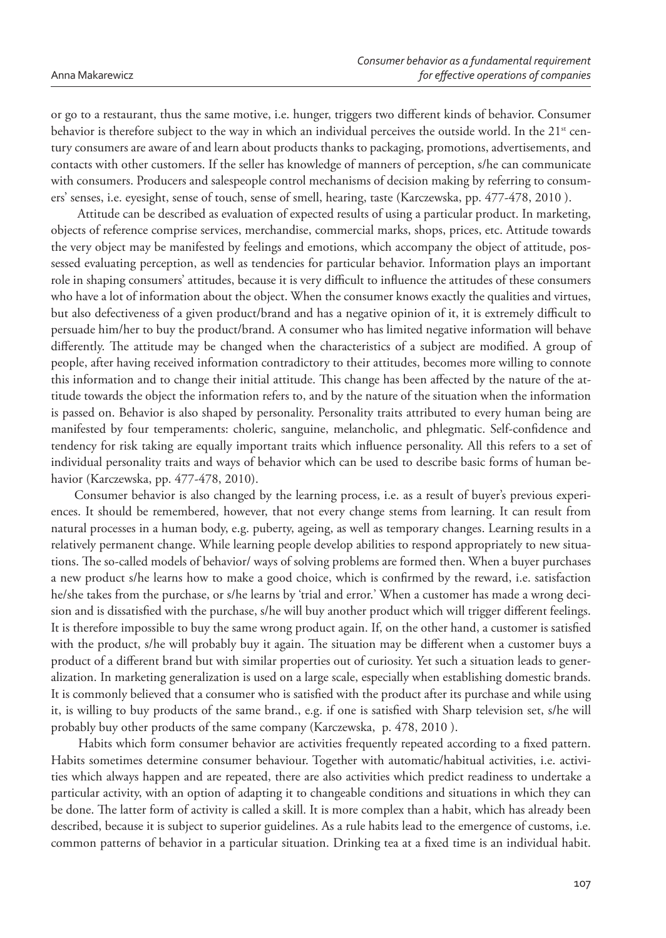or go to a restaurant, thus the same motive, i.e. hunger, triggers two different kinds of behavior. Consumer behavior is therefore subject to the way in which an individual perceives the outside world. In the  $21<sup>st</sup>$  century consumers are aware of and learn about products thanks to packaging, promotions, advertisements, and contacts with other customers. If the seller has knowledge of manners of perception, s/he can communicate with consumers. Producers and salespeople control mechanisms of decision making by referring to consumers' senses, i.e. eyesight, sense of touch, sense of smell, hearing, taste (Karczewska, pp. 477-478, 2010 ).

 Attitude can be described as evaluation of expected results of using a particular product. In marketing, objects of reference comprise services, merchandise, commercial marks, shops, prices, etc. Attitude towards the very object may be manifested by feelings and emotions, which accompany the object of attitude, possessed evaluating perception, as well as tendencies for particular behavior. Information plays an important role in shaping consumers' attitudes, because it is very difficult to influence the attitudes of these consumers who have a lot of information about the object. When the consumer knows exactly the qualities and virtues, but also defectiveness of a given product/brand and has a negative opinion of it, it is extremely difficult to persuade him/her to buy the product/brand. A consumer who has limited negative information will behave differently. The attitude may be changed when the characteristics of a subject are modified. A group of people, after having received information contradictory to their attitudes, becomes more willing to connote this information and to change their initial attitude. This change has been affected by the nature of the attitude towards the object the information refers to, and by the nature of the situation when the information is passed on. Behavior is also shaped by personality. Personality traits attributed to every human being are manifested by four temperaments: choleric, sanguine, melancholic, and phlegmatic. Self-confidence and tendency for risk taking are equally important traits which influence personality. All this refers to a set of individual personality traits and ways of behavior which can be used to describe basic forms of human behavior (Karczewska, pp. 477-478, 2010).

Consumer behavior is also changed by the learning process, i.e. as a result of buyer's previous experiences. It should be remembered, however, that not every change stems from learning. It can result from natural processes in a human body, e.g. puberty, ageing, as well as temporary changes. Learning results in a relatively permanent change. While learning people develop abilities to respond appropriately to new situations. The so-called models of behavior/ ways of solving problems are formed then. When a buyer purchases a new product s/he learns how to make a good choice, which is confirmed by the reward, i.e. satisfaction he/she takes from the purchase, or s/he learns by 'trial and error.' When a customer has made a wrong decision and is dissatisfied with the purchase, s/he will buy another product which will trigger different feelings. It is therefore impossible to buy the same wrong product again. If, on the other hand, a customer is satisfied with the product, s/he will probably buy it again. The situation may be different when a customer buys a product of a different brand but with similar properties out of curiosity. Yet such a situation leads to generalization. In marketing generalization is used on a large scale, especially when establishing domestic brands. It is commonly believed that a consumer who is satisfied with the product after its purchase and while using it, is willing to buy products of the same brand., e.g. if one is satisfied with Sharp television set, s/he will probably buy other products of the same company (Karczewska, p. 478, 2010 ).

Habits which form consumer behavior are activities frequently repeated according to a fixed pattern. Habits sometimes determine consumer behaviour. Together with automatic/habitual activities, i.e. activities which always happen and are repeated, there are also activities which predict readiness to undertake a particular activity, with an option of adapting it to changeable conditions and situations in which they can be done. The latter form of activity is called a skill. It is more complex than a habit, which has already been described, because it is subject to superior guidelines. As a rule habits lead to the emergence of customs, i.e. common patterns of behavior in a particular situation. Drinking tea at a fixed time is an individual habit.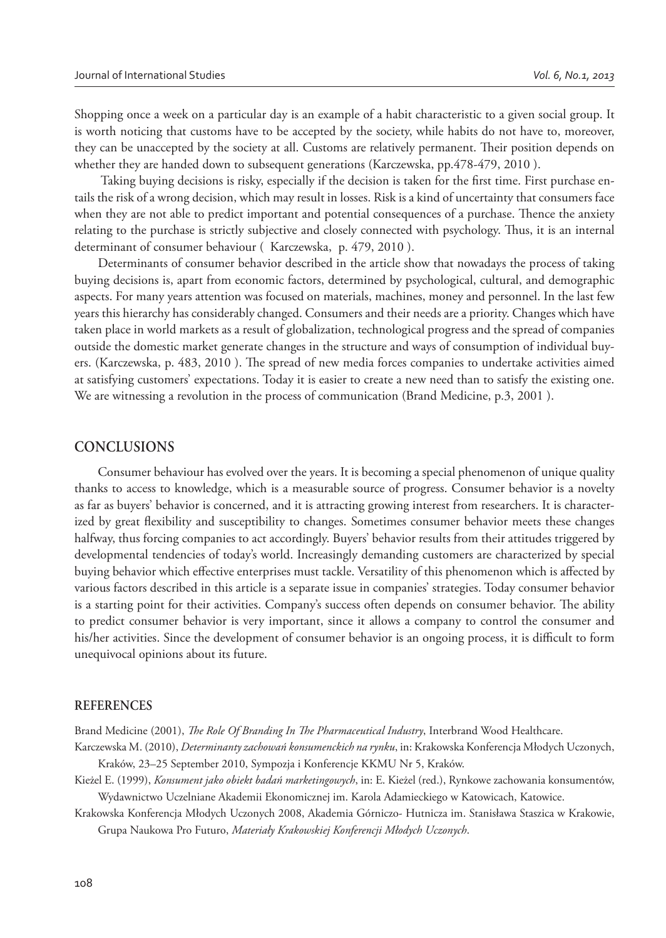Shopping once a week on a particular day is an example of a habit characteristic to a given social group. It is worth noticing that customs have to be accepted by the society, while habits do not have to, moreover, they can be unaccepted by the society at all. Customs are relatively permanent. Their position depends on whether they are handed down to subsequent generations (Karczewska, pp.478-479, 2010 ).

Taking buying decisions is risky, especially if the decision is taken for the first time. First purchase entails the risk of a wrong decision, which may result in losses. Risk is a kind of uncertainty that consumers face when they are not able to predict important and potential consequences of a purchase. Thence the anxiety relating to the purchase is strictly subjective and closely connected with psychology. Thus, it is an internal determinant of consumer behaviour ( Karczewska, p. 479, 2010 ).

Determinants of consumer behavior described in the article show that nowadays the process of taking buying decisions is, apart from economic factors, determined by psychological, cultural, and demographic aspects. For many years attention was focused on materials, machines, money and personnel. In the last few years this hierarchy has considerably changed. Consumers and their needs are a priority. Changes which have taken place in world markets as a result of globalization, technological progress and the spread of companies outside the domestic market generate changes in the structure and ways of consumption of individual buyers. (Karczewska, p. 483, 2010). The spread of new media forces companies to undertake activities aimed at satisfying customers' expectations. Today it is easier to create a new need than to satisfy the existing one. We are witnessing a revolution in the process of communication (Brand Medicine, p.3, 2001 ).

#### **CONCLUSIONS**

Consumer behaviour has evolved over the years. It is becoming a special phenomenon of unique quality thanks to access to knowledge, which is a measurable source of progress. Consumer behavior is a novelty as far as buyers' behavior is concerned, and it is attracting growing interest from researchers. It is characterized by great flexibility and susceptibility to changes. Sometimes consumer behavior meets these changes halfway, thus forcing companies to act accordingly. Buyers' behavior results from their attitudes triggered by developmental tendencies of today's world. Increasingly demanding customers are characterized by special buying behavior which effective enterprises must tackle. Versatility of this phenomenon which is affected by various factors described in this article is a separate issue in companies' strategies. Today consumer behavior is a starting point for their activities. Company's success often depends on consumer behavior. The ability to predict consumer behavior is very important, since it allows a company to control the consumer and his/her activities. Since the development of consumer behavior is an ongoing process, it is difficult to form unequivocal opinions about its future.

#### **REFERENCES**

Brand Medicine (2001), *The Role Of Branding In The Pharmaceutical Industry*, Interbrand Wood Healthcare.

Karczewska M. (2010), *Determinanty zachowań konsumenckich na rynku*, in: Krakowska Konferencja Młodych Uczonych, Kraków, 23–25 September 2010, Sympozja i Konferencje KKMU Nr 5, Kraków.

Kieżel E. (1999), *Konsument jako obiekt badań marketingowych*, in: E. Kieżel (red.), Rynkowe zachowania konsumentów, Wydawnictwo Uczelniane Akademii Ekonomicznej im. Karola Adamieckiego w Katowicach, Katowice.

Krakowska Konferencja Młodych Uczonych 2008, Akademia Górniczo- Hutnicza im. Stanisława Staszica w Krakowie, Grupa Naukowa Pro Futuro, *Materiały Krakowskiej Konferencji Młodych Uczonych*.